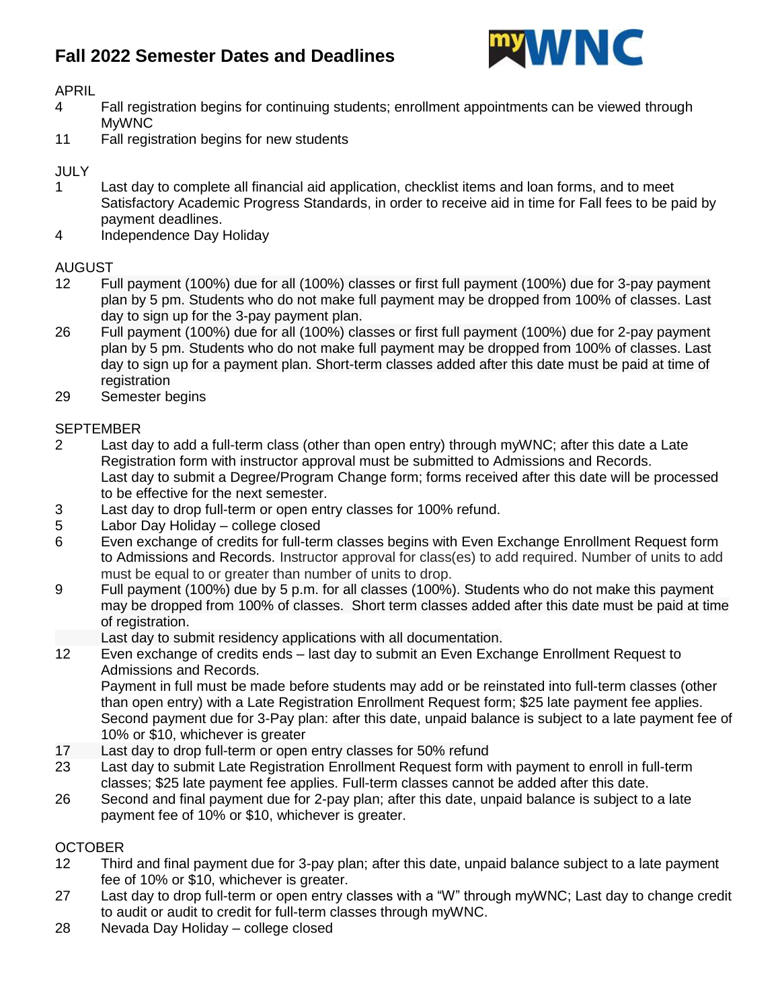## **Fall 2022 Semester Dates and Deadlines**



APRIL

- 4 Fall registration begins for continuing students; enrollment appointments can be viewed through MyWNC
- 11 Fall registration begins for new students

### **JULY**

- 1 Last day to complete all financial aid application, checklist items and loan forms, and to meet Satisfactory Academic Progress Standards, in order to receive aid in time for Fall fees to be paid by payment deadlines.
- 4 Independence Day Holiday

#### AUGUST

- 12 Full payment (100%) due for all (100%) classes or first full payment (100%) due for 3-pay payment plan by 5 pm. Students who do not make full payment may be dropped from 100% of classes. Last day to sign up for the 3-pay payment plan.
- 26 Full payment (100%) due for all (100%) classes or first full payment (100%) due for 2-pay payment plan by 5 pm. Students who do not make full payment may be dropped from 100% of classes. Last day to sign up for a payment plan. Short-term classes added after this date must be paid at time of registration
- 29 Semester begins

#### **SEPTEMBER**

- 2 Last day to add a full-term class (other than open entry) through myWNC; after this date a Late Registration form with instructor approval must be submitted to Admissions and Records. Last day to submit a Degree/Program Change form; forms received after this date will be processed to be effective for the next semester.
- 3 Last day to drop full-term or open entry classes for 100% refund.
- 5 Labor Day Holiday college closed
- 6 Even exchange of credits for full-term classes begins with Even Exchange Enrollment Request form to Admissions and Records. Instructor approval for class(es) to add required. Number of units to add must be equal to or greater than number of units to drop.
- 9 Full payment (100%) due by 5 p.m. for all classes (100%). Students who do not make this payment may be dropped from 100% of classes. Short term classes added after this date must be paid at time of registration.

Last day to submit residency applications with all documentation.

12 Even exchange of credits ends – last day to submit an Even Exchange Enrollment Request to Admissions and Records.

Payment in full must be made before students may add or be reinstated into full-term classes (other than open entry) with a Late Registration Enrollment Request form; \$25 late payment fee applies. Second payment due for 3-Pay plan: after this date, unpaid balance is subject to a late payment fee of 10% or \$10, whichever is greater

- 17 Last day to drop full-term or open entry classes for 50% refund
- 23 Last day to submit Late Registration Enrollment Request form with payment to enroll in full-term classes; \$25 late payment fee applies. Full-term classes cannot be added after this date.
- 26 Second and final payment due for 2-pay plan; after this date, unpaid balance is subject to a late payment fee of 10% or \$10, whichever is greater.

### **OCTOBER**

- 12 Third and final payment due for 3-pay plan; after this date, unpaid balance subject to a late payment fee of 10% or \$10, whichever is greater.
- 27 Last day to drop full-term or open entry classes with a "W" through myWNC; Last day to change credit to audit or audit to credit for full-term classes through myWNC.
- 28 Nevada Day Holiday college closed